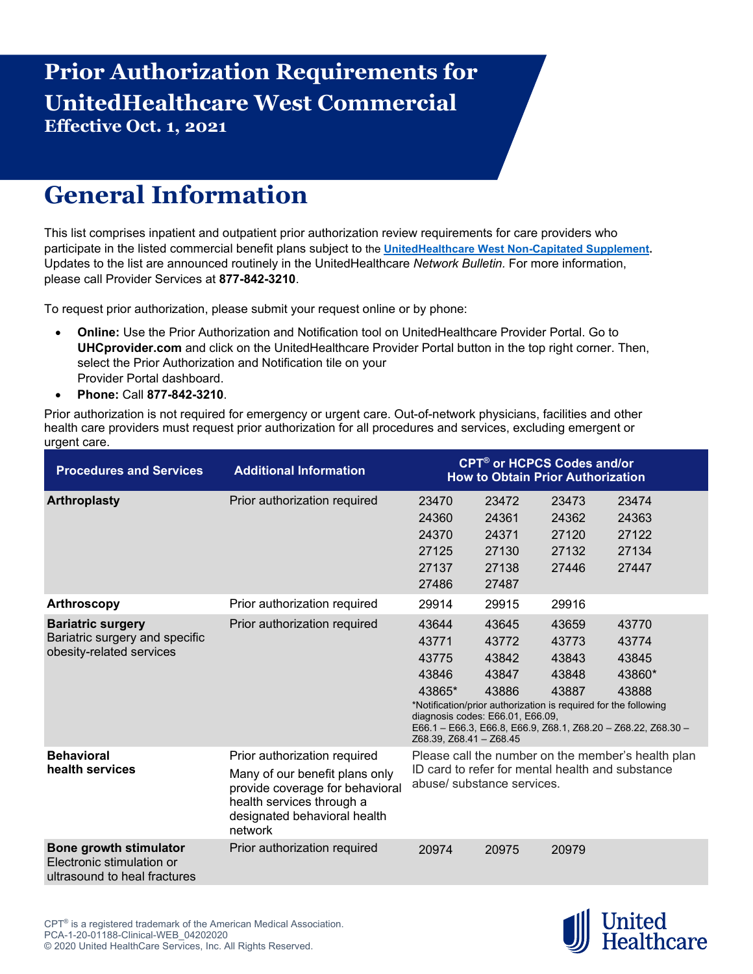## **Prior Authorization Requirements for UnitedHealthcare West Commercial Effective Oct. 1, 2021**

## **General Information**

This list comprises inpatient and outpatient prior authorization review requirements for care providers who participate in the listed commercial benefit plans subject to the **[UnitedHealthcare West Non-Capitated Supplement.](https://www.uhcprovider.com/en/admin-guides/administrative-guides-manuals-2021/uhcw-supp-2021.html)**  Updates to the list are announced routinely in the UnitedHealthcare *Network Bulletin.* For more information, please call Provider Services at **877-842-3210**.

To request prior authorization, please submit your request online or by phone:

- **Online:** Use the Prior Authorization and Notification tool on UnitedHealthcare Provider Portal. Go to **UHCprovider.com** and click on the UnitedHealthcare Provider Portal button in the top right corner. Then, select the Prior Authorization and Notification tile on your Provider Portal dashboard.
- **Phone:** Call **877-842-3210**.

Prior authorization is not required for emergency or urgent care. Out-of-network physicians, facilities and other health care providers must request prior authorization for all procedures and services, excluding emergent or urgent care.

| <b>Procedures and Services</b>                                                         | <b>Additional Information</b>                                                                                                                                             | <b>CPT<sup>®</sup> or HCPCS Codes and/or</b><br><b>How to Obtain Prior Authorization</b>                                                                                     |                                                    |                                           |                                                                                                             |  |  |
|----------------------------------------------------------------------------------------|---------------------------------------------------------------------------------------------------------------------------------------------------------------------------|------------------------------------------------------------------------------------------------------------------------------------------------------------------------------|----------------------------------------------------|-------------------------------------------|-------------------------------------------------------------------------------------------------------------|--|--|
| <b>Arthroplasty</b>                                                                    | Prior authorization required                                                                                                                                              | 23470<br>24360<br>24370<br>27125<br>27137<br>27486                                                                                                                           | 23472<br>24361<br>24371<br>27130<br>27138<br>27487 | 23473<br>24362<br>27120<br>27132<br>27446 | 23474<br>24363<br>27122<br>27134<br>27447                                                                   |  |  |
| <b>Arthroscopy</b>                                                                     | Prior authorization required                                                                                                                                              | 29914                                                                                                                                                                        | 29915                                              | 29916                                     |                                                                                                             |  |  |
| <b>Bariatric surgery</b><br>Bariatric surgery and specific<br>obesity-related services | Prior authorization required                                                                                                                                              | 43644<br>43771<br>43775<br>43846<br>43865*<br>*Notification/prior authorization is required for the following<br>diagnosis codes: E66.01, E66.09,<br>Z68.39, Z68.41 - Z68.45 | 43645<br>43772<br>43842<br>43847<br>43886          | 43659<br>43773<br>43843<br>43848<br>43887 | 43770<br>43774<br>43845<br>43860*<br>43888<br>E66.1 - E66.3, E66.8, E66.9, Z68.1, Z68.20 - Z68.22, Z68.30 - |  |  |
| <b>Behavioral</b><br>health services                                                   | Prior authorization required<br>Many of our benefit plans only<br>provide coverage for behavioral<br>health services through a<br>designated behavioral health<br>network | Please call the number on the member's health plan<br>ID card to refer for mental health and substance<br>abuse/ substance services.                                         |                                                    |                                           |                                                                                                             |  |  |
| Bone growth stimulator<br>Electronic stimulation or<br>ultrasound to heal fractures    | Prior authorization required                                                                                                                                              | 20974                                                                                                                                                                        | 20975                                              | 20979                                     |                                                                                                             |  |  |

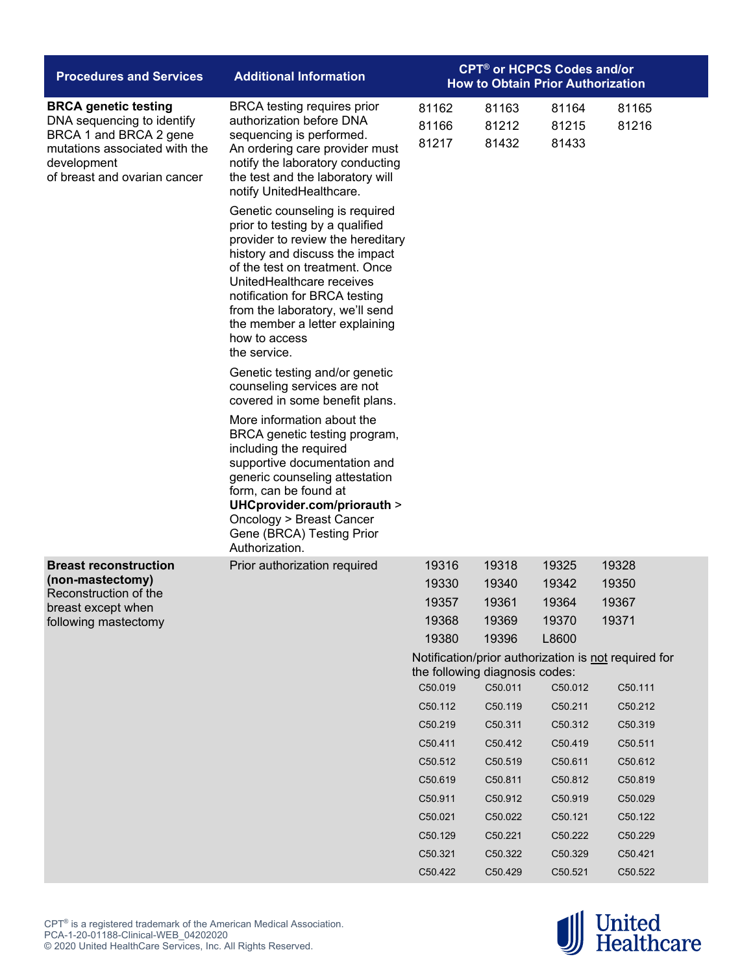| <b>Procedures and Services</b>                                                                                                                                      | <b>Additional Information</b>                                                                                                                                                                                                                                                                                                                  | <b>CPT<sup>®</sup> or HCPCS Codes and/or</b><br><b>How to Obtain Prior Authorization</b> |                         |                         |                                                      |  |
|---------------------------------------------------------------------------------------------------------------------------------------------------------------------|------------------------------------------------------------------------------------------------------------------------------------------------------------------------------------------------------------------------------------------------------------------------------------------------------------------------------------------------|------------------------------------------------------------------------------------------|-------------------------|-------------------------|------------------------------------------------------|--|
| <b>BRCA genetic testing</b><br>DNA sequencing to identify<br>BRCA 1 and BRCA 2 gene<br>mutations associated with the<br>development<br>of breast and ovarian cancer | <b>BRCA</b> testing requires prior<br>authorization before DNA<br>sequencing is performed.<br>An ordering care provider must<br>notify the laboratory conducting<br>the test and the laboratory will<br>notify UnitedHealthcare.                                                                                                               | 81162<br>81166<br>81217                                                                  | 81163<br>81212<br>81432 | 81164<br>81215<br>81433 | 81165<br>81216                                       |  |
|                                                                                                                                                                     | Genetic counseling is required<br>prior to testing by a qualified<br>provider to review the hereditary<br>history and discuss the impact<br>of the test on treatment. Once<br>UnitedHealthcare receives<br>notification for BRCA testing<br>from the laboratory, we'll send<br>the member a letter explaining<br>how to access<br>the service. |                                                                                          |                         |                         |                                                      |  |
|                                                                                                                                                                     | Genetic testing and/or genetic<br>counseling services are not<br>covered in some benefit plans.                                                                                                                                                                                                                                                |                                                                                          |                         |                         |                                                      |  |
|                                                                                                                                                                     | More information about the<br>BRCA genetic testing program,<br>including the required<br>supportive documentation and<br>generic counseling attestation<br>form, can be found at<br>UHCprovider.com/priorauth ><br>Oncology > Breast Cancer<br>Gene (BRCA) Testing Prior<br>Authorization.                                                     |                                                                                          |                         |                         |                                                      |  |
| <b>Breast reconstruction</b>                                                                                                                                        | Prior authorization required                                                                                                                                                                                                                                                                                                                   | 19316                                                                                    | 19318                   | 19325                   | 19328                                                |  |
| (non-mastectomy)<br>Reconstruction of the                                                                                                                           |                                                                                                                                                                                                                                                                                                                                                | 19330                                                                                    | 19340                   | 19342                   | 19350                                                |  |
| breast except when                                                                                                                                                  |                                                                                                                                                                                                                                                                                                                                                | 19357                                                                                    | 19361                   | 19364                   | 19367                                                |  |
| following mastectomy                                                                                                                                                |                                                                                                                                                                                                                                                                                                                                                | 19368                                                                                    | 19369                   | 19370                   | 19371                                                |  |
|                                                                                                                                                                     |                                                                                                                                                                                                                                                                                                                                                | 19380                                                                                    | 19396                   | L8600                   |                                                      |  |
|                                                                                                                                                                     |                                                                                                                                                                                                                                                                                                                                                | the following diagnosis codes:                                                           |                         |                         | Notification/prior authorization is not required for |  |
|                                                                                                                                                                     |                                                                                                                                                                                                                                                                                                                                                | C50.019                                                                                  | C50.011                 | C50.012                 | C50.111                                              |  |
|                                                                                                                                                                     |                                                                                                                                                                                                                                                                                                                                                | C50.112                                                                                  | C50.119                 | C50.211                 | C50.212                                              |  |
|                                                                                                                                                                     |                                                                                                                                                                                                                                                                                                                                                | C50.219                                                                                  | C50.311                 | C50.312                 | C50.319                                              |  |
|                                                                                                                                                                     |                                                                                                                                                                                                                                                                                                                                                | C50.411                                                                                  | C50.412                 | C50.419                 | C50.511                                              |  |
|                                                                                                                                                                     |                                                                                                                                                                                                                                                                                                                                                | C50.512                                                                                  | C50.519                 | C50.611                 | C50.612                                              |  |
|                                                                                                                                                                     |                                                                                                                                                                                                                                                                                                                                                | C50.619                                                                                  | C50.811                 | C50.812                 | C50.819                                              |  |
|                                                                                                                                                                     |                                                                                                                                                                                                                                                                                                                                                | C50.911                                                                                  | C50.912                 | C50.919                 | C50.029                                              |  |
|                                                                                                                                                                     |                                                                                                                                                                                                                                                                                                                                                | C50.021                                                                                  | C50.022                 | C50.121                 | C50.122                                              |  |
|                                                                                                                                                                     |                                                                                                                                                                                                                                                                                                                                                | C50.129                                                                                  | C50.221                 | C50.222                 | C50.229                                              |  |
|                                                                                                                                                                     |                                                                                                                                                                                                                                                                                                                                                | C50.321                                                                                  | C50.322                 | C50.329                 | C50.421                                              |  |
|                                                                                                                                                                     |                                                                                                                                                                                                                                                                                                                                                | C50.422                                                                                  | C50.429                 | C50.521                 | C50.522                                              |  |

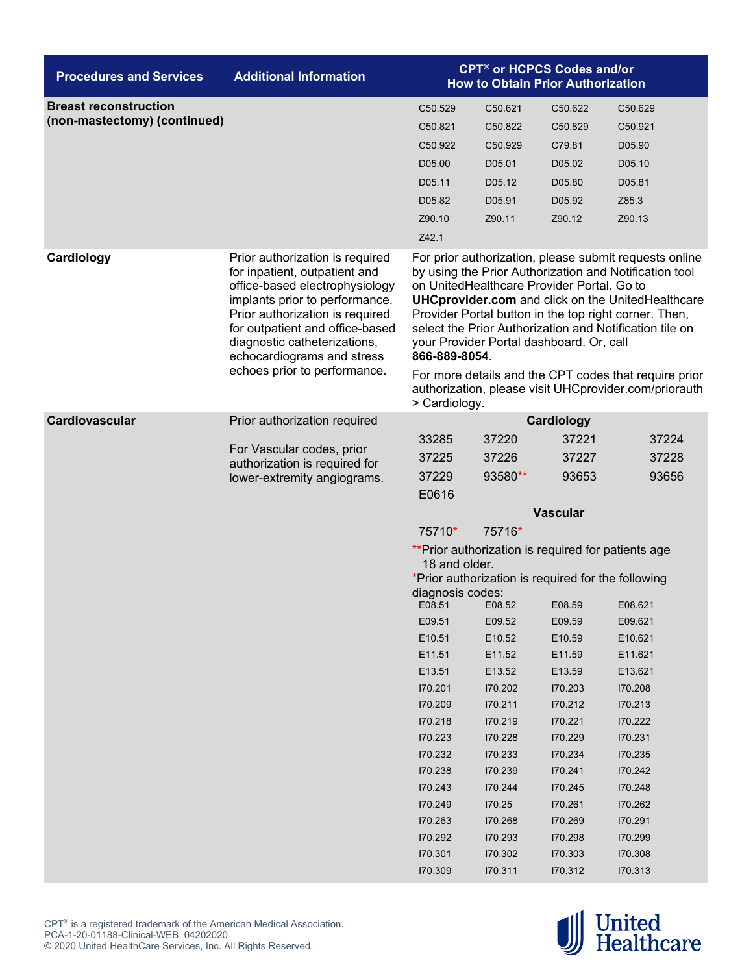| <b>Procedures and Services</b>                               | <b>Additional Information</b>                                                                                                                                                                                                                                                                            | <b>CPT<sup>®</sup> or HCPCS Codes and/or</b><br><b>How to Obtain Prior Authorization</b>                                                                                                                                                                                                                                                                                                                                                                                                                                                       |                                                                                                                                                                                                                                                                                                                                       |                                                                                                                                                                                                                                                |                                                                                                                                                                                                                    |  |
|--------------------------------------------------------------|----------------------------------------------------------------------------------------------------------------------------------------------------------------------------------------------------------------------------------------------------------------------------------------------------------|------------------------------------------------------------------------------------------------------------------------------------------------------------------------------------------------------------------------------------------------------------------------------------------------------------------------------------------------------------------------------------------------------------------------------------------------------------------------------------------------------------------------------------------------|---------------------------------------------------------------------------------------------------------------------------------------------------------------------------------------------------------------------------------------------------------------------------------------------------------------------------------------|------------------------------------------------------------------------------------------------------------------------------------------------------------------------------------------------------------------------------------------------|--------------------------------------------------------------------------------------------------------------------------------------------------------------------------------------------------------------------|--|
| <b>Breast reconstruction</b><br>(non-mastectomy) (continued) |                                                                                                                                                                                                                                                                                                          | C50.529<br>C50.821<br>C <sub>50.922</sub><br>D05.00<br>D05.11<br>D05.82<br>Z90.10<br>Z42.1                                                                                                                                                                                                                                                                                                                                                                                                                                                     | C50.621<br>C50.822<br>C <sub>50.929</sub><br>D05.01<br>D05.12<br>D05.91<br>Z90.11                                                                                                                                                                                                                                                     | C <sub>50.622</sub><br>C50.829<br>C79.81<br>D05.02<br>D05.80<br>D05.92<br>Z90.12                                                                                                                                                               | C50.629<br>C50.921<br>D05.90<br>D05.10<br>D05.81<br>Z85.3<br>Z90.13                                                                                                                                                |  |
| Cardiology                                                   | Prior authorization is required<br>for inpatient, outpatient and<br>office-based electrophysiology<br>implants prior to performance.<br>Prior authorization is required<br>for outpatient and office-based<br>diagnostic catheterizations,<br>echocardiograms and stress<br>echoes prior to performance. | For prior authorization, please submit requests online<br>by using the Prior Authorization and Notification tool<br>on UnitedHealthcare Provider Portal. Go to<br><b>UHCprovider.com</b> and click on the UnitedHealthcare<br>Provider Portal button in the top right corner. Then,<br>select the Prior Authorization and Notification tile on<br>your Provider Portal dashboard. Or, call<br>866-889-8054.<br>For more details and the CPT codes that require prior<br>authorization, please visit UHCprovider.com/priorauth<br>> Cardiology. |                                                                                                                                                                                                                                                                                                                                       |                                                                                                                                                                                                                                                |                                                                                                                                                                                                                    |  |
| Cardiovascular                                               | Prior authorization required<br>For Vascular codes, prior<br>authorization is required for<br>lower-extremity angiograms.                                                                                                                                                                                | 33285<br>37225<br>37229<br>E0616<br>75710*<br>18 and older.<br>diagnosis codes:<br>E08.51<br>E09.51<br>E10.51<br>E11.51<br>E13.51<br>170.201<br>170.209<br>170.218<br>170.223<br>170.232<br>170.238<br>170.243<br>170.249<br>170.263<br>170.292<br>170.301<br>170.309                                                                                                                                                                                                                                                                          | 37220<br>37226<br>93580**<br>75716*<br>** Prior authorization is required for patients age<br>*Prior authorization is required for the following<br>E08.52<br>E09.52<br>E10.52<br>E11.52<br>E13.52<br>170.202<br>170.211<br>170.219<br>170.228<br>170.233<br>170.239<br>170.244<br>170.25<br>170.268<br>170.293<br>170.302<br>170.311 | Cardiology<br>37221<br>37227<br>93653<br><b>Vascular</b><br>E08.59<br>E09.59<br>E10.59<br>E11.59<br>E13.59<br>170.203<br>170.212<br>170.221<br>170.229<br>170.234<br>170.241<br>170.245<br>170.261<br>170.269<br>170.298<br>170.303<br>170.312 | 37224<br>37228<br>93656<br>E08.621<br>E09.621<br>E10.621<br>E11.621<br>E13.621<br>170.208<br>170.213<br>170.222<br>170.231<br>170.235<br>170.242<br>170.248<br>170.262<br>170.291<br>170.299<br>170.308<br>170.313 |  |

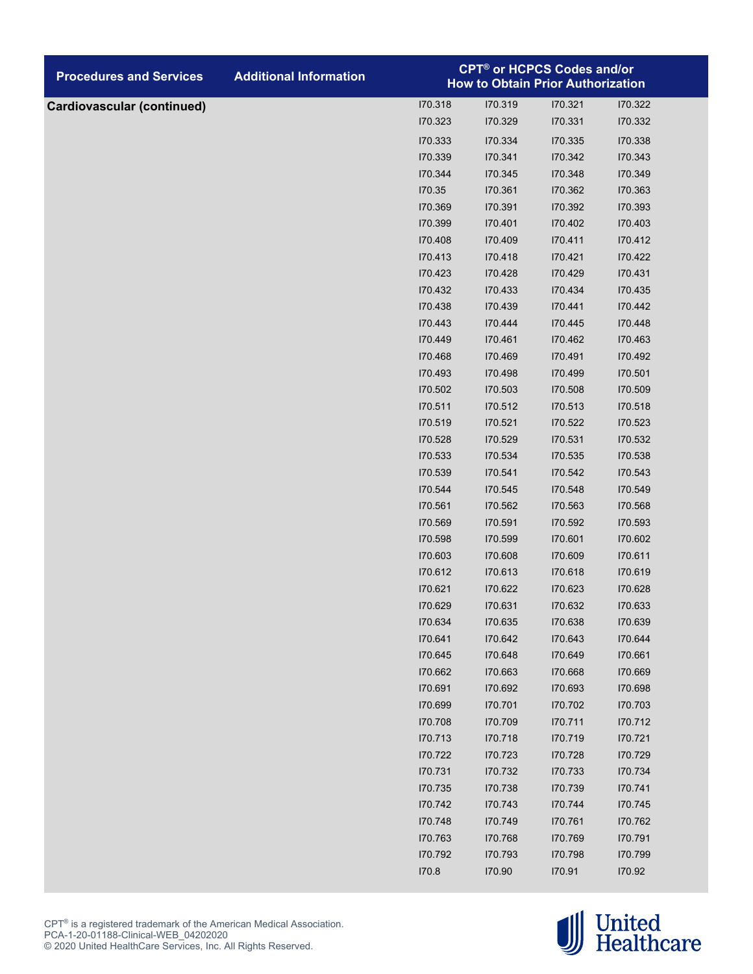| <b>Procedures and Services</b>    | <b>Additional Information</b> | <b>CPT<sup>®</sup> or HCPCS Codes and/or</b><br><b>How to Obtain Prior Authorization</b> |                    |                    |                    |  |
|-----------------------------------|-------------------------------|------------------------------------------------------------------------------------------|--------------------|--------------------|--------------------|--|
| <b>Cardiovascular (continued)</b> |                               | 170.318                                                                                  | 170.319            | 170.321            | 170.322            |  |
|                                   |                               | 170.323                                                                                  | 170.329            | 170.331            | 170.332            |  |
|                                   |                               | 170.333                                                                                  | 170.334            | 170.335            | 170.338            |  |
|                                   |                               | 170.339                                                                                  | 170.341            | 170.342            | 170.343            |  |
|                                   |                               | 170.344                                                                                  | 170.345            | 170.348            | 170.349            |  |
|                                   |                               | 170.35                                                                                   | 170.361            | 170.362            | 170.363            |  |
|                                   |                               | 170.369                                                                                  | 170.391            | 170.392            | 170.393            |  |
|                                   |                               | 170.399                                                                                  | 170.401            | 170.402            | 170.403            |  |
|                                   |                               | 170.408                                                                                  | 170.409            | 170.411            | 170.412            |  |
|                                   |                               | 170.413                                                                                  | 170.418            | 170.421            | 170.422            |  |
|                                   |                               | 170.423                                                                                  | 170.428            | 170.429            | 170.431            |  |
|                                   |                               | 170.432                                                                                  | 170.433            | 170.434            | 170.435            |  |
|                                   |                               | 170.438                                                                                  | 170.439            | 170.441            | 170.442            |  |
|                                   |                               | 170.443                                                                                  | 170.444            | 170.445            | 170.448            |  |
|                                   |                               | 170.449                                                                                  | 170.461            | 170.462            | 170.463            |  |
|                                   |                               | 170.468                                                                                  | 170.469            | 170.491            | 170.492            |  |
|                                   |                               | 170.493                                                                                  | 170.498            | 170.499            | 170.501            |  |
|                                   |                               | 170.502                                                                                  | 170.503            | 170.508            | 170.509            |  |
|                                   |                               | 170.511                                                                                  | 170.512            | 170.513            | 170.518            |  |
|                                   |                               | 170.519                                                                                  | 170.521            | 170.522            | 170.523            |  |
|                                   |                               | 170.528                                                                                  | 170.529            | 170.531            | 170.532            |  |
|                                   |                               | 170.533                                                                                  | 170.534            | 170.535            | 170.538            |  |
|                                   |                               | 170.539                                                                                  | 170.541            | 170.542            | 170.543            |  |
|                                   |                               | 170.544                                                                                  | 170.545            | 170.548            | 170.549            |  |
|                                   |                               | 170.561                                                                                  | 170.562            | 170.563            | 170.568            |  |
|                                   |                               | 170.569                                                                                  | 170.591            | 170.592            | 170.593            |  |
|                                   |                               | 170.598                                                                                  | 170.599            | 170.601            | 170.602            |  |
|                                   |                               | 170.603                                                                                  | 170.608            | 170.609            | 170.611            |  |
|                                   |                               | 170.612                                                                                  | 170.613            | 170.618            | 170.619            |  |
|                                   |                               | 170.621                                                                                  | 170.622            | 170.623            | 170.628            |  |
|                                   |                               | 170.629                                                                                  | 170.631            | 170.632            | 170.633            |  |
|                                   |                               | 170.634                                                                                  | 170.635            | 170.638            | 170.639            |  |
|                                   |                               | 170.641                                                                                  | 170.642            | 170.643            | 170.644            |  |
|                                   |                               | 170.645                                                                                  | 170.648            | 170.649            | 170.661            |  |
|                                   |                               | 170.662                                                                                  | 170.663            | 170.668            | 170.669            |  |
|                                   |                               | 170.691                                                                                  | 170.692            | 170.693            | 170.698            |  |
|                                   |                               | 170.699                                                                                  | 170.701            | 170.702            | 170.703            |  |
|                                   |                               | 170.708                                                                                  | 170.709            | 170.711            | 170.712            |  |
|                                   |                               | 170.713<br>170.722                                                                       | 170.718<br>170.723 | 170.719            | 170.721<br>170.729 |  |
|                                   |                               | 170.731                                                                                  |                    | 170.728            |                    |  |
|                                   |                               | 170.735                                                                                  | 170.732<br>170.738 | 170.733<br>170.739 | 170.734<br>170.741 |  |
|                                   |                               | 170.742                                                                                  | 170.743            | 170.744            | 170.745            |  |
|                                   |                               | 170.748                                                                                  | 170.749            |                    | 170.762            |  |
|                                   |                               | 170.763                                                                                  | 170.768            | 170.761<br>170.769 | 170.791            |  |
|                                   |                               | 170.792                                                                                  | 170.793            | 170.798            | 170.799            |  |
|                                   |                               | 170.8                                                                                    | 170.90             | 170.91             | 170.92             |  |
|                                   |                               |                                                                                          |                    |                    |                    |  |

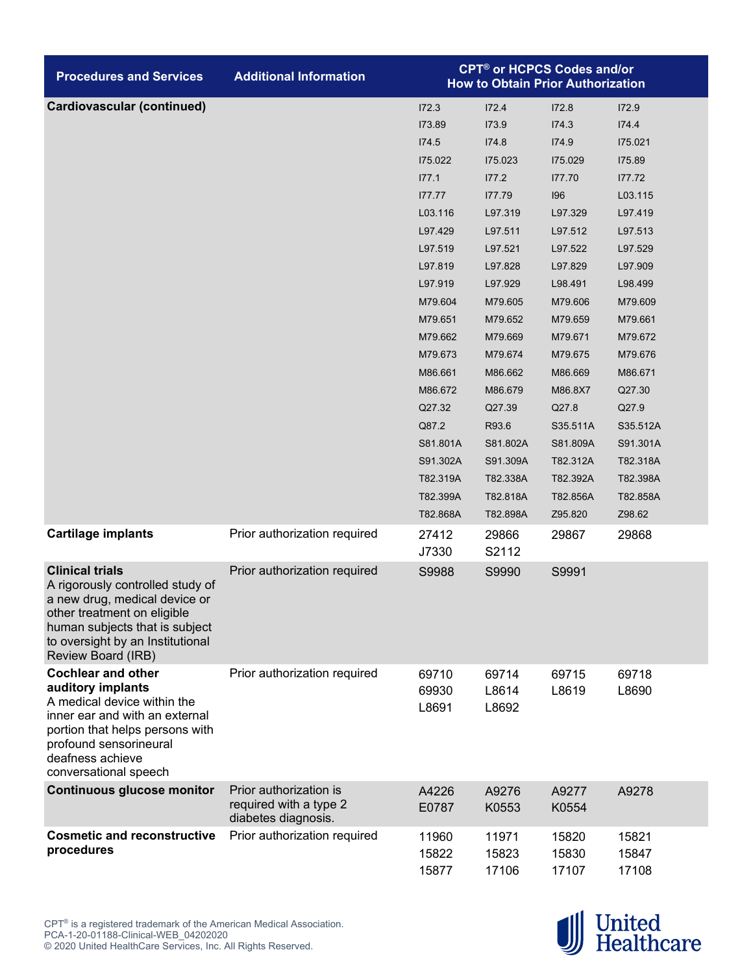| <b>Procedures and Services</b>                                                                                                                                                                                            | <b>Additional Information</b>                                           | <b>CPT<sup>®</sup> or HCPCS Codes and/or</b><br><b>How to Obtain Prior Authorization</b> |                         |                         |                         |  |
|---------------------------------------------------------------------------------------------------------------------------------------------------------------------------------------------------------------------------|-------------------------------------------------------------------------|------------------------------------------------------------------------------------------|-------------------------|-------------------------|-------------------------|--|
| <b>Cardiovascular (continued)</b>                                                                                                                                                                                         |                                                                         | 172.3                                                                                    | 172.4                   | 172.8                   | 172.9                   |  |
|                                                                                                                                                                                                                           |                                                                         | 173.89                                                                                   | 173.9                   | 174.3                   | 174.4                   |  |
|                                                                                                                                                                                                                           |                                                                         | 174.5                                                                                    | 174.8                   | 174.9                   | 175.021                 |  |
|                                                                                                                                                                                                                           |                                                                         | 175.022                                                                                  | 175.023                 | 175.029                 | 175.89                  |  |
|                                                                                                                                                                                                                           |                                                                         | 177.1                                                                                    | 177.2                   | 177.70                  | 177.72                  |  |
|                                                                                                                                                                                                                           |                                                                         | 177.77                                                                                   | 177.79                  | 196                     | L03.115                 |  |
|                                                                                                                                                                                                                           |                                                                         | L03.116                                                                                  | L97.319                 | L97.329                 | L97.419                 |  |
|                                                                                                                                                                                                                           |                                                                         | L97.429                                                                                  | L97.511                 | L97.512                 | L97.513                 |  |
|                                                                                                                                                                                                                           |                                                                         | L97.519                                                                                  | L97.521                 | L97.522                 | L97.529                 |  |
|                                                                                                                                                                                                                           |                                                                         | L97.819                                                                                  | L97.828                 | L97.829                 | L97.909                 |  |
|                                                                                                                                                                                                                           |                                                                         | L97.919                                                                                  | L97.929                 | L98.491                 | L98.499                 |  |
|                                                                                                                                                                                                                           |                                                                         | M79.604                                                                                  | M79.605                 | M79.606                 | M79.609                 |  |
|                                                                                                                                                                                                                           |                                                                         | M79.651                                                                                  | M79.652                 | M79.659                 | M79.661                 |  |
|                                                                                                                                                                                                                           |                                                                         | M79.662                                                                                  | M79.669                 | M79.671                 | M79.672                 |  |
|                                                                                                                                                                                                                           |                                                                         | M79.673                                                                                  | M79.674                 | M79.675                 | M79.676                 |  |
|                                                                                                                                                                                                                           |                                                                         | M86.661                                                                                  | M86.662                 | M86.669                 | M86.671                 |  |
|                                                                                                                                                                                                                           |                                                                         | M86.672                                                                                  | M86.679                 | M86.8X7                 | Q27.30                  |  |
|                                                                                                                                                                                                                           |                                                                         | Q27.32                                                                                   | Q27.39                  | Q27.8                   | Q27.9                   |  |
|                                                                                                                                                                                                                           |                                                                         | Q87.2                                                                                    | R93.6                   | S35.511A                | S35.512A                |  |
|                                                                                                                                                                                                                           |                                                                         | S81.801A                                                                                 | S81.802A                | S81.809A                | S91.301A                |  |
|                                                                                                                                                                                                                           |                                                                         | S91.302A                                                                                 | S91.309A                | T82.312A                | T82.318A                |  |
|                                                                                                                                                                                                                           |                                                                         | T82.319A                                                                                 | T82.338A                | T82.392A                | T82.398A                |  |
|                                                                                                                                                                                                                           |                                                                         | T82.399A                                                                                 | T82.818A                | T82.856A                | T82.858A                |  |
|                                                                                                                                                                                                                           |                                                                         | T82.868A                                                                                 | T82.898A                | Z95.820                 | Z98.62                  |  |
| <b>Cartilage implants</b>                                                                                                                                                                                                 | Prior authorization required                                            | 27412<br>J7330                                                                           | 29866<br>S2112          | 29867                   | 29868                   |  |
| <b>Clinical trials</b><br>A rigorously controlled study of<br>a new drug, medical device or<br>other treatment on eligible<br>human subjects that is subject<br>to oversight by an Institutional<br>Review Board (IRB)    | Prior authorization required                                            | S9988                                                                                    | S9990                   | S9991                   |                         |  |
| <b>Cochlear and other</b><br>auditory implants<br>A medical device within the<br>inner ear and with an external<br>portion that helps persons with<br>profound sensorineural<br>deafness achieve<br>conversational speech | Prior authorization required                                            | 69710<br>69930<br>L8691                                                                  | 69714<br>L8614<br>L8692 | 69715<br>L8619          | 69718<br>L8690          |  |
| <b>Continuous glucose monitor</b>                                                                                                                                                                                         | Prior authorization is<br>required with a type 2<br>diabetes diagnosis. | A4226<br>E0787                                                                           | A9276<br>K0553          | A9277<br>K0554          | A9278                   |  |
| <b>Cosmetic and reconstructive</b><br>procedures                                                                                                                                                                          | Prior authorization required                                            | 11960<br>15822<br>15877                                                                  | 11971<br>15823<br>17106 | 15820<br>15830<br>17107 | 15821<br>15847<br>17108 |  |

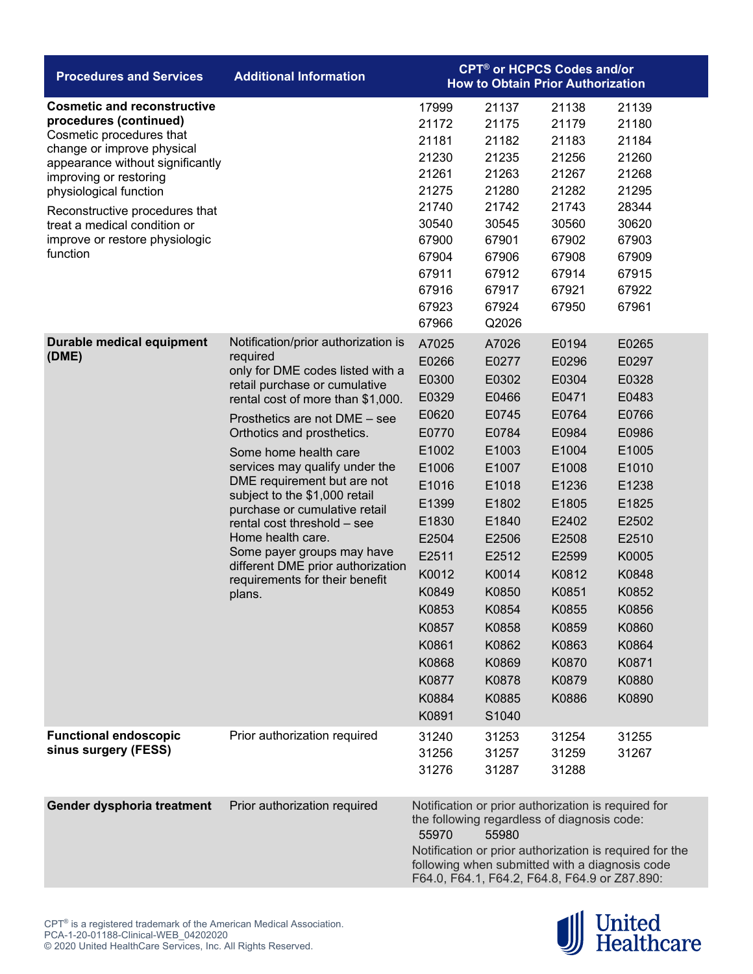| <b>Procedures and Services</b>                                                                                                                                                                                                                                                                                                 | <b>Additional Information</b>                                                                                                                                                                                                                                                                                                                                                                                                                                                                                                                           | <b>CPT<sup>®</sup> or HCPCS Codes and/or</b><br><b>How to Obtain Prior Authorization</b>                                                                                                           |                                                                                                                                                                                                    |                                                                                                                                                                                           |                                                                                                                                                                                           |  |
|--------------------------------------------------------------------------------------------------------------------------------------------------------------------------------------------------------------------------------------------------------------------------------------------------------------------------------|---------------------------------------------------------------------------------------------------------------------------------------------------------------------------------------------------------------------------------------------------------------------------------------------------------------------------------------------------------------------------------------------------------------------------------------------------------------------------------------------------------------------------------------------------------|----------------------------------------------------------------------------------------------------------------------------------------------------------------------------------------------------|----------------------------------------------------------------------------------------------------------------------------------------------------------------------------------------------------|-------------------------------------------------------------------------------------------------------------------------------------------------------------------------------------------|-------------------------------------------------------------------------------------------------------------------------------------------------------------------------------------------|--|
| <b>Cosmetic and reconstructive</b><br>procedures (continued)<br>Cosmetic procedures that<br>change or improve physical<br>appearance without significantly<br>improving or restoring<br>physiological function<br>Reconstructive procedures that<br>treat a medical condition or<br>improve or restore physiologic<br>function |                                                                                                                                                                                                                                                                                                                                                                                                                                                                                                                                                         | 17999<br>21172<br>21181<br>21230<br>21261<br>21275<br>21740<br>30540<br>67900<br>67904<br>67911<br>67916<br>67923<br>67966                                                                         | 21137<br>21175<br>21182<br>21235<br>21263<br>21280<br>21742<br>30545<br>67901<br>67906<br>67912<br>67917<br>67924<br>Q2026                                                                         | 21138<br>21179<br>21183<br>21256<br>21267<br>21282<br>21743<br>30560<br>67902<br>67908<br>67914<br>67921<br>67950                                                                         | 21139<br>21180<br>21184<br>21260<br>21268<br>21295<br>28344<br>30620<br>67903<br>67909<br>67915<br>67922<br>67961                                                                         |  |
| Durable medical equipment<br>(DME)                                                                                                                                                                                                                                                                                             | Notification/prior authorization is<br>required<br>only for DME codes listed with a<br>retail purchase or cumulative<br>rental cost of more than \$1,000.<br>Prosthetics are not DME - see<br>Orthotics and prosthetics.<br>Some home health care<br>services may qualify under the<br>DME requirement but are not<br>subject to the \$1,000 retail<br>purchase or cumulative retail<br>rental cost threshold - see<br>Home health care.<br>Some payer groups may have<br>different DME prior authorization<br>requirements for their benefit<br>plans. | A7025<br>E0266<br>E0300<br>E0329<br>E0620<br>E0770<br>E1002<br>E1006<br>E1016<br>E1399<br>E1830<br>E2504<br>E2511<br>K0012<br>K0849<br>K0853<br>K0857<br>K0861<br>K0868<br>K0877<br>K0884<br>K0891 | A7026<br>E0277<br>E0302<br>E0466<br>E0745<br>E0784<br>E1003<br>E1007<br>E1018<br>E1802<br>E1840<br>E2506<br>E2512<br>K0014<br>K0850<br>K0854<br>K0858<br>K0862<br>K0869<br>K0878<br>K0885<br>S1040 | E0194<br>E0296<br>E0304<br>E0471<br>E0764<br>E0984<br>E1004<br>E1008<br>E1236<br>E1805<br>E2402<br>E2508<br>E2599<br>K0812<br>K0851<br>K0855<br>K0859<br>K0863<br>K0870<br>K0879<br>K0886 | E0265<br>E0297<br>E0328<br>E0483<br>E0766<br>E0986<br>E1005<br>E1010<br>E1238<br>E1825<br>E2502<br>E2510<br>K0005<br>K0848<br>K0852<br>K0856<br>K0860<br>K0864<br>K0871<br>K0880<br>K0890 |  |
| <b>Functional endoscopic</b><br>sinus surgery (FESS)                                                                                                                                                                                                                                                                           | Prior authorization required                                                                                                                                                                                                                                                                                                                                                                                                                                                                                                                            | 31240<br>31256<br>31276                                                                                                                                                                            | 31253<br>31257<br>31287                                                                                                                                                                            | 31254<br>31259<br>31288                                                                                                                                                                   | 31255<br>31267                                                                                                                                                                            |  |
| Gender dysphoria treatment                                                                                                                                                                                                                                                                                                     | Prior authorization required                                                                                                                                                                                                                                                                                                                                                                                                                                                                                                                            | Notification or prior authorization is required for<br>the following regardless of diagnosis code:<br>55970<br>55980<br>Notification or prior authorization is required for the                    |                                                                                                                                                                                                    |                                                                                                                                                                                           |                                                                                                                                                                                           |  |

**United<br>Healthcare** 

following when submitted with a diagnosis code F64.0, F64.1, F64.2, F64.8, F64.9 or Z87.890: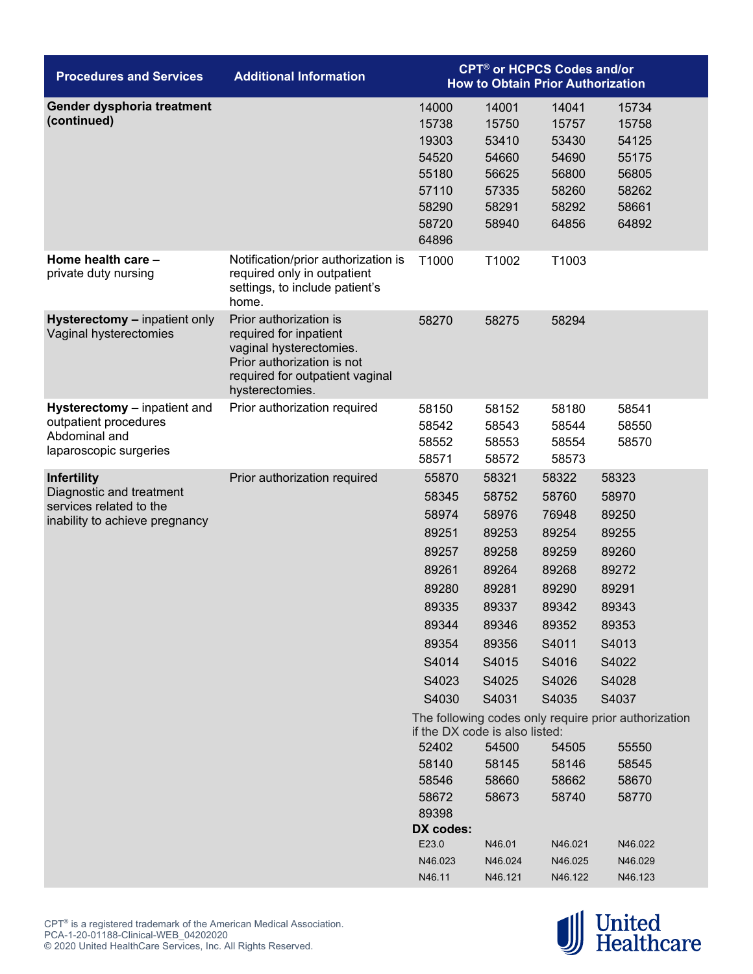| <b>Procedures and Services</b>                                                                              | <b>Additional Information</b>                                                                                                                                   | <b>CPT<sup>®</sup> or HCPCS Codes and/or</b><br><b>How to Obtain Prior Authorization</b>                                                                                                                                                    |                                                                                                                                                                                       |                                                                                                                                                                                        |                                                                                                                                                                                                                                                |  |
|-------------------------------------------------------------------------------------------------------------|-----------------------------------------------------------------------------------------------------------------------------------------------------------------|---------------------------------------------------------------------------------------------------------------------------------------------------------------------------------------------------------------------------------------------|---------------------------------------------------------------------------------------------------------------------------------------------------------------------------------------|----------------------------------------------------------------------------------------------------------------------------------------------------------------------------------------|------------------------------------------------------------------------------------------------------------------------------------------------------------------------------------------------------------------------------------------------|--|
| Gender dysphoria treatment<br>(continued)                                                                   |                                                                                                                                                                 | 14000<br>15738<br>19303<br>54520<br>55180<br>57110<br>58290<br>58720<br>64896                                                                                                                                                               | 14001<br>15750<br>53410<br>54660<br>56625<br>57335<br>58291<br>58940                                                                                                                  | 14041<br>15757<br>53430<br>54690<br>56800<br>58260<br>58292<br>64856                                                                                                                   | 15734<br>15758<br>54125<br>55175<br>56805<br>58262<br>58661<br>64892                                                                                                                                                                           |  |
| Home health care -<br>private duty nursing                                                                  | Notification/prior authorization is<br>required only in outpatient<br>settings, to include patient's<br>home.                                                   | T1000                                                                                                                                                                                                                                       | T1002                                                                                                                                                                                 | T1003                                                                                                                                                                                  |                                                                                                                                                                                                                                                |  |
| <b>Hysterectomy - inpatient only</b><br>Vaginal hysterectomies                                              | Prior authorization is<br>required for inpatient<br>vaginal hysterectomies.<br>Prior authorization is not<br>required for outpatient vaginal<br>hysterectomies. | 58270                                                                                                                                                                                                                                       | 58275                                                                                                                                                                                 | 58294                                                                                                                                                                                  |                                                                                                                                                                                                                                                |  |
| Hysterectomy - inpatient and<br>outpatient procedures<br>Abdominal and<br>laparoscopic surgeries            | Prior authorization required                                                                                                                                    | 58150<br>58542<br>58552<br>58571                                                                                                                                                                                                            | 58152<br>58543<br>58553<br>58572                                                                                                                                                      | 58180<br>58544<br>58554<br>58573                                                                                                                                                       | 58541<br>58550<br>58570                                                                                                                                                                                                                        |  |
| <b>Infertility</b><br>Diagnostic and treatment<br>services related to the<br>inability to achieve pregnancy | Prior authorization required                                                                                                                                    | 55870<br>58345<br>58974<br>89251<br>89257<br>89261<br>89280<br>89335<br>89344<br>89354<br>S4014<br>S4023<br>S4030<br>if the DX code is also listed:<br>52402<br>58140<br>58546<br>58672<br>89398<br>DX codes:<br>E23.0<br>N46.023<br>N46.11 | 58321<br>58752<br>58976<br>89253<br>89258<br>89264<br>89281<br>89337<br>89346<br>89356<br>S4015<br>S4025<br>S4031<br>54500<br>58145<br>58660<br>58673<br>N46.01<br>N46.024<br>N46.121 | 58322<br>58760<br>76948<br>89254<br>89259<br>89268<br>89290<br>89342<br>89352<br>S4011<br>S4016<br>S4026<br>S4035<br>54505<br>58146<br>58662<br>58740<br>N46.021<br>N46.025<br>N46.122 | 58323<br>58970<br>89250<br>89255<br>89260<br>89272<br>89291<br>89343<br>89353<br>S4013<br>S4022<br>S4028<br>S4037<br>The following codes only require prior authorization<br>55550<br>58545<br>58670<br>58770<br>N46.022<br>N46.029<br>N46.123 |  |

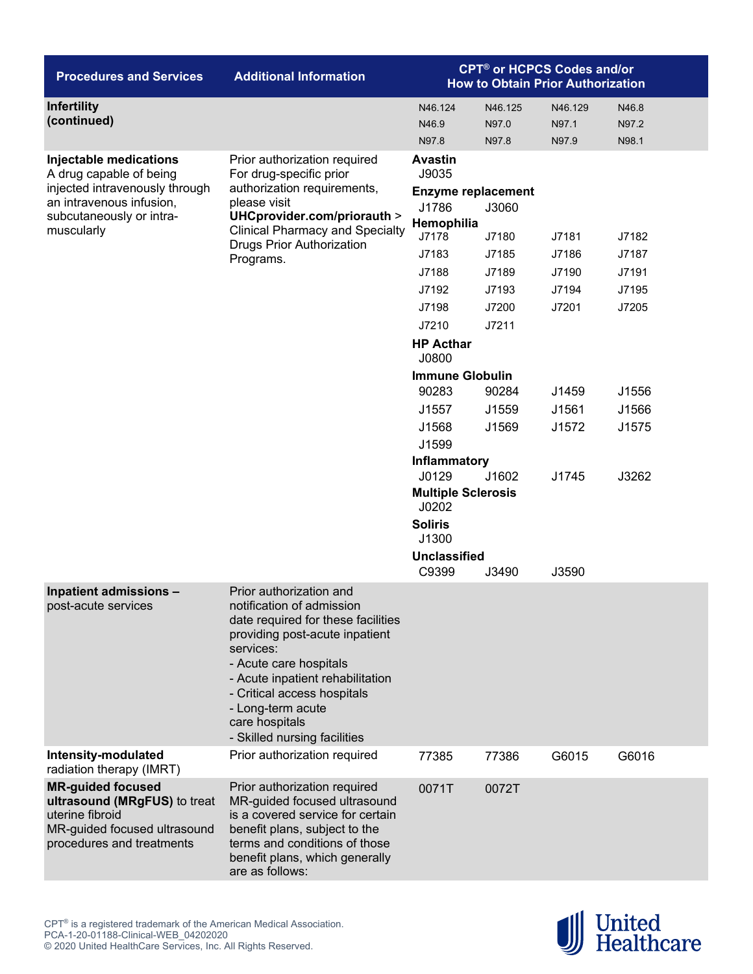| <b>Procedures and Services</b>                                                                                                           | <b>Additional Information</b>                                                                                                                                                                                                                                                                                 | <b>CPT<sup>®</sup> or HCPCS Codes and/or</b><br><b>How to Obtain Prior Authorization</b> |                           |                           |                         |  |
|------------------------------------------------------------------------------------------------------------------------------------------|---------------------------------------------------------------------------------------------------------------------------------------------------------------------------------------------------------------------------------------------------------------------------------------------------------------|------------------------------------------------------------------------------------------|---------------------------|---------------------------|-------------------------|--|
| Infertility<br>(continued)                                                                                                               |                                                                                                                                                                                                                                                                                                               | N46.124<br>N46.9<br>N97.8                                                                | N46.125<br>N97.0<br>N97.8 | N46.129<br>N97.1<br>N97.9 | N46.8<br>N97.2<br>N98.1 |  |
| Injectable medications<br>A drug capable of being                                                                                        | Prior authorization required<br>For drug-specific prior<br>authorization requirements,                                                                                                                                                                                                                        | <b>Avastin</b><br>J9035                                                                  |                           |                           |                         |  |
| injected intravenously through<br>an intravenous infusion,                                                                               | please visit                                                                                                                                                                                                                                                                                                  | <b>Enzyme replacement</b><br>J1786                                                       | J3060                     |                           |                         |  |
| subcutaneously or intra-<br>muscularly                                                                                                   | UHCprovider.com/priorauth ><br><b>Clinical Pharmacy and Specialty</b>                                                                                                                                                                                                                                         | Hemophilia                                                                               |                           |                           |                         |  |
|                                                                                                                                          | <b>Drugs Prior Authorization</b>                                                                                                                                                                                                                                                                              | J7178                                                                                    | J7180                     | J7181                     | J7182                   |  |
|                                                                                                                                          | Programs.                                                                                                                                                                                                                                                                                                     | J7183                                                                                    | J7185                     | J7186                     | J7187                   |  |
|                                                                                                                                          |                                                                                                                                                                                                                                                                                                               | J7188                                                                                    | J7189                     | J7190                     | J7191                   |  |
|                                                                                                                                          |                                                                                                                                                                                                                                                                                                               | J7192                                                                                    | J7193                     | J7194                     | J7195                   |  |
|                                                                                                                                          |                                                                                                                                                                                                                                                                                                               | J7198                                                                                    | J7200                     | J7201                     | J7205                   |  |
|                                                                                                                                          |                                                                                                                                                                                                                                                                                                               | J7210<br><b>HP Acthar</b>                                                                | J7211                     |                           |                         |  |
|                                                                                                                                          |                                                                                                                                                                                                                                                                                                               | J0800                                                                                    |                           |                           |                         |  |
|                                                                                                                                          |                                                                                                                                                                                                                                                                                                               | <b>Immune Globulin</b>                                                                   |                           |                           |                         |  |
|                                                                                                                                          |                                                                                                                                                                                                                                                                                                               | 90283                                                                                    | 90284                     | J1459                     | J1556                   |  |
|                                                                                                                                          |                                                                                                                                                                                                                                                                                                               | J1557                                                                                    | J1559                     | J1561                     | J1566                   |  |
|                                                                                                                                          |                                                                                                                                                                                                                                                                                                               | J1568                                                                                    | J1569                     | J1572                     | J1575                   |  |
|                                                                                                                                          |                                                                                                                                                                                                                                                                                                               | J1599                                                                                    |                           |                           |                         |  |
|                                                                                                                                          |                                                                                                                                                                                                                                                                                                               | <b>Inflammatory</b><br>J0129                                                             | J1602                     | J1745                     | J3262                   |  |
|                                                                                                                                          |                                                                                                                                                                                                                                                                                                               | <b>Multiple Sclerosis</b><br>J0202                                                       |                           |                           |                         |  |
|                                                                                                                                          |                                                                                                                                                                                                                                                                                                               | <b>Soliris</b><br>J1300                                                                  |                           |                           |                         |  |
|                                                                                                                                          |                                                                                                                                                                                                                                                                                                               | <b>Unclassified</b><br>C9399                                                             | J3490                     | J3590                     |                         |  |
| Inpatient admissions -<br>post-acute services                                                                                            | Prior authorization and<br>notification of admission<br>date required for these facilities<br>providing post-acute inpatient<br>services:<br>- Acute care hospitals<br>- Acute inpatient rehabilitation<br>- Critical access hospitals<br>- Long-term acute<br>care hospitals<br>- Skilled nursing facilities |                                                                                          |                           |                           |                         |  |
| Intensity-modulated<br>radiation therapy (IMRT)                                                                                          | Prior authorization required                                                                                                                                                                                                                                                                                  | 77385                                                                                    | 77386                     | G6015                     | G6016                   |  |
| <b>MR-guided focused</b><br>ultrasound (MRgFUS) to treat<br>uterine fibroid<br>MR-guided focused ultrasound<br>procedures and treatments | Prior authorization required<br>MR-guided focused ultrasound<br>is a covered service for certain<br>benefit plans, subject to the<br>terms and conditions of those<br>benefit plans, which generally<br>are as follows:                                                                                       | 0071T                                                                                    | 0072T                     |                           |                         |  |

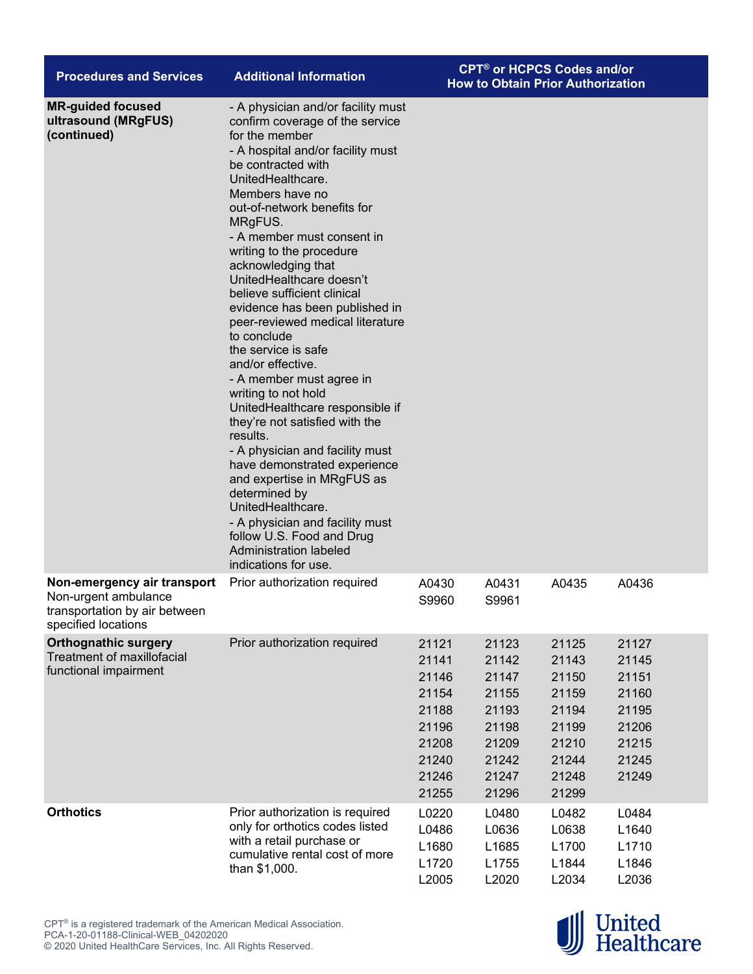| <b>Procedures and Services</b>                                                                              | <b>Additional Information</b>                                                                                                                                                                                                                                                                                                                                                                                                                                                                                                                                                                                                                                                                                                                                                                                                                                                                                        | <b>CPT<sup>®</sup> or HCPCS Codes and/or</b><br><b>How to Obtain Prior Authorization</b> |                                                                                        |                                                                                        |                                                                               |
|-------------------------------------------------------------------------------------------------------------|----------------------------------------------------------------------------------------------------------------------------------------------------------------------------------------------------------------------------------------------------------------------------------------------------------------------------------------------------------------------------------------------------------------------------------------------------------------------------------------------------------------------------------------------------------------------------------------------------------------------------------------------------------------------------------------------------------------------------------------------------------------------------------------------------------------------------------------------------------------------------------------------------------------------|------------------------------------------------------------------------------------------|----------------------------------------------------------------------------------------|----------------------------------------------------------------------------------------|-------------------------------------------------------------------------------|
| <b>MR-guided focused</b><br>ultrasound (MRgFUS)<br>(continued)                                              | - A physician and/or facility must<br>confirm coverage of the service<br>for the member<br>- A hospital and/or facility must<br>be contracted with<br>UnitedHealthcare.<br>Members have no<br>out-of-network benefits for<br>MRgFUS.<br>- A member must consent in<br>writing to the procedure<br>acknowledging that<br>UnitedHealthcare doesn't<br>believe sufficient clinical<br>evidence has been published in<br>peer-reviewed medical literature<br>to conclude<br>the service is safe<br>and/or effective.<br>- A member must agree in<br>writing to not hold<br>UnitedHealthcare responsible if<br>they're not satisfied with the<br>results.<br>- A physician and facility must<br>have demonstrated experience<br>and expertise in MRgFUS as<br>determined by<br>UnitedHealthcare.<br>- A physician and facility must<br>follow U.S. Food and Drug<br><b>Administration labeled</b><br>indications for use. |                                                                                          |                                                                                        |                                                                                        |                                                                               |
| Non-emergency air transport<br>Non-urgent ambulance<br>transportation by air between<br>specified locations | Prior authorization required                                                                                                                                                                                                                                                                                                                                                                                                                                                                                                                                                                                                                                                                                                                                                                                                                                                                                         | A0430<br>S9960                                                                           | A0431<br>S9961                                                                         | A0435                                                                                  | A0436                                                                         |
| <b>Orthognathic surgery</b><br><b>Treatment of maxillofacial</b><br>functional impairment                   | Prior authorization required                                                                                                                                                                                                                                                                                                                                                                                                                                                                                                                                                                                                                                                                                                                                                                                                                                                                                         | 21121<br>21141<br>21146<br>21154<br>21188<br>21196<br>21208<br>21240<br>21246<br>21255   | 21123<br>21142<br>21147<br>21155<br>21193<br>21198<br>21209<br>21242<br>21247<br>21296 | 21125<br>21143<br>21150<br>21159<br>21194<br>21199<br>21210<br>21244<br>21248<br>21299 | 21127<br>21145<br>21151<br>21160<br>21195<br>21206<br>21215<br>21245<br>21249 |
| <b>Orthotics</b>                                                                                            | Prior authorization is required<br>only for orthotics codes listed<br>with a retail purchase or<br>cumulative rental cost of more<br>than \$1,000.                                                                                                                                                                                                                                                                                                                                                                                                                                                                                                                                                                                                                                                                                                                                                                   | L0220<br>L0486<br>L1680<br>L1720<br>L2005                                                | L0480<br>L0636<br>L1685<br>L1755<br>L2020                                              | L0482<br>L0638<br>L1700<br>L1844<br>L2034                                              | L0484<br>L1640<br>L1710<br>L1846<br>L2036                                     |

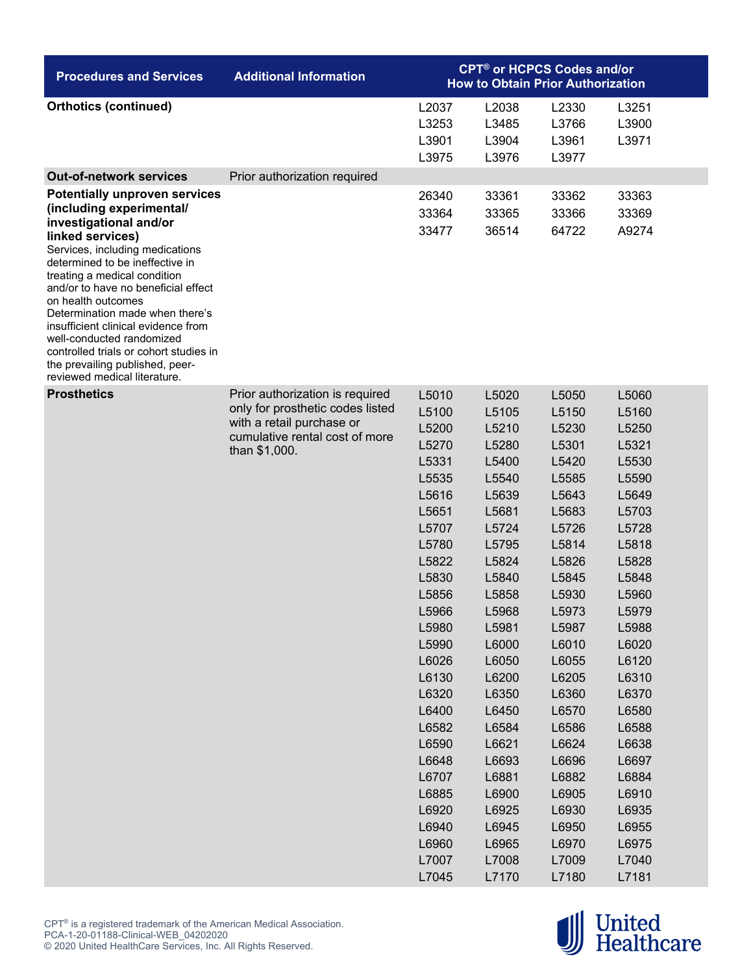| <b>Procedures and Services</b>                                                                                                                                                                                                                                                          | <b>Additional Information</b>                                                                                    | <b>CPT<sup>®</sup> or HCPCS Codes and/or</b><br><b>How to Obtain Prior Authorization</b> |                                  |                                  |                         |  |
|-----------------------------------------------------------------------------------------------------------------------------------------------------------------------------------------------------------------------------------------------------------------------------------------|------------------------------------------------------------------------------------------------------------------|------------------------------------------------------------------------------------------|----------------------------------|----------------------------------|-------------------------|--|
| <b>Orthotics (continued)</b>                                                                                                                                                                                                                                                            |                                                                                                                  | L2037<br>L3253<br>L3901<br>L3975                                                         | L2038<br>L3485<br>L3904<br>L3976 | L2330<br>L3766<br>L3961<br>L3977 | L3251<br>L3900<br>L3971 |  |
| <b>Out-of-network services</b>                                                                                                                                                                                                                                                          |                                                                                                                  |                                                                                          |                                  |                                  |                         |  |
|                                                                                                                                                                                                                                                                                         | Prior authorization required                                                                                     |                                                                                          |                                  |                                  |                         |  |
| <b>Potentially unproven services</b><br>(including experimental/                                                                                                                                                                                                                        |                                                                                                                  | 26340                                                                                    | 33361                            | 33362                            | 33363                   |  |
| investigational and/or<br>linked services)<br>Services, including medications<br>determined to be ineffective in<br>treating a medical condition<br>and/or to have no beneficial effect<br>on health outcomes<br>Determination made when there's<br>insufficient clinical evidence from |                                                                                                                  | 33364<br>33477                                                                           | 33365<br>36514                   | 33366<br>64722                   | 33369<br>A9274          |  |
| well-conducted randomized<br>controlled trials or cohort studies in<br>the prevailing published, peer-<br>reviewed medical literature.                                                                                                                                                  |                                                                                                                  |                                                                                          |                                  |                                  |                         |  |
| <b>Prosthetics</b>                                                                                                                                                                                                                                                                      | Prior authorization is required                                                                                  | L5010                                                                                    | L5020                            | L5050                            | L5060                   |  |
|                                                                                                                                                                                                                                                                                         | only for prosthetic codes listed<br>with a retail purchase or<br>cumulative rental cost of more<br>than \$1,000. | L5100                                                                                    | L5105                            | L5150                            | L5160                   |  |
|                                                                                                                                                                                                                                                                                         |                                                                                                                  | L5200                                                                                    | L5210                            | L5230                            | L5250                   |  |
|                                                                                                                                                                                                                                                                                         |                                                                                                                  | L5270                                                                                    | L5280                            | L5301                            | L5321                   |  |
|                                                                                                                                                                                                                                                                                         |                                                                                                                  | L5331                                                                                    | L5400                            | L5420                            | L5530                   |  |
|                                                                                                                                                                                                                                                                                         |                                                                                                                  | L5535                                                                                    | L5540                            | L5585                            | L5590                   |  |
|                                                                                                                                                                                                                                                                                         |                                                                                                                  | L5616                                                                                    | L5639                            | L5643                            | L5649                   |  |
|                                                                                                                                                                                                                                                                                         |                                                                                                                  | L5651                                                                                    | L5681                            | L5683                            | L5703                   |  |
|                                                                                                                                                                                                                                                                                         |                                                                                                                  | L5707                                                                                    | L5724                            | L5726                            | L5728                   |  |
|                                                                                                                                                                                                                                                                                         |                                                                                                                  | L5780                                                                                    | L5795                            | L5814                            | L5818                   |  |
|                                                                                                                                                                                                                                                                                         |                                                                                                                  | L5822                                                                                    | L5824                            | L5826                            | L5828                   |  |
|                                                                                                                                                                                                                                                                                         |                                                                                                                  | L5830                                                                                    | L5840                            | L5845                            | L5848                   |  |
|                                                                                                                                                                                                                                                                                         |                                                                                                                  | L5856                                                                                    | L5858                            | L5930                            | L5960                   |  |
|                                                                                                                                                                                                                                                                                         |                                                                                                                  | L5966                                                                                    | L5968                            | L5973                            | L5979                   |  |
|                                                                                                                                                                                                                                                                                         |                                                                                                                  | L5980                                                                                    | L5981                            | L5987                            | L5988                   |  |
|                                                                                                                                                                                                                                                                                         |                                                                                                                  | L5990                                                                                    | L6000                            | L6010                            | L6020                   |  |
|                                                                                                                                                                                                                                                                                         |                                                                                                                  | L6026                                                                                    | L6050                            | L6055                            | L6120                   |  |
|                                                                                                                                                                                                                                                                                         |                                                                                                                  | L6130                                                                                    | L6200                            | L6205                            | L6310                   |  |
|                                                                                                                                                                                                                                                                                         |                                                                                                                  | L6320                                                                                    | L6350                            | L6360                            | L6370                   |  |
|                                                                                                                                                                                                                                                                                         |                                                                                                                  | L6400                                                                                    | L6450                            | L6570                            | L6580                   |  |
|                                                                                                                                                                                                                                                                                         |                                                                                                                  | L6582                                                                                    | L6584                            | L6586                            | L6588                   |  |
|                                                                                                                                                                                                                                                                                         |                                                                                                                  | L6590                                                                                    | L6621                            | L6624                            | L6638                   |  |
|                                                                                                                                                                                                                                                                                         |                                                                                                                  | L6648                                                                                    | L6693                            | L6696                            | L6697                   |  |
|                                                                                                                                                                                                                                                                                         |                                                                                                                  | L6707                                                                                    | L6881                            | L6882                            | L6884                   |  |
|                                                                                                                                                                                                                                                                                         |                                                                                                                  | L6885                                                                                    | L6900                            | L6905                            | L6910                   |  |
|                                                                                                                                                                                                                                                                                         |                                                                                                                  | L6920                                                                                    | L6925                            | L6930                            | L6935                   |  |
|                                                                                                                                                                                                                                                                                         |                                                                                                                  | L6940                                                                                    | L6945                            | L6950                            | L6955                   |  |
|                                                                                                                                                                                                                                                                                         |                                                                                                                  | L6960                                                                                    | L6965                            | L6970                            | L6975                   |  |
|                                                                                                                                                                                                                                                                                         |                                                                                                                  | L7007                                                                                    | L7008                            | L7009                            | L7040                   |  |
|                                                                                                                                                                                                                                                                                         |                                                                                                                  | L7045                                                                                    | L7170                            | L7180                            | L7181                   |  |

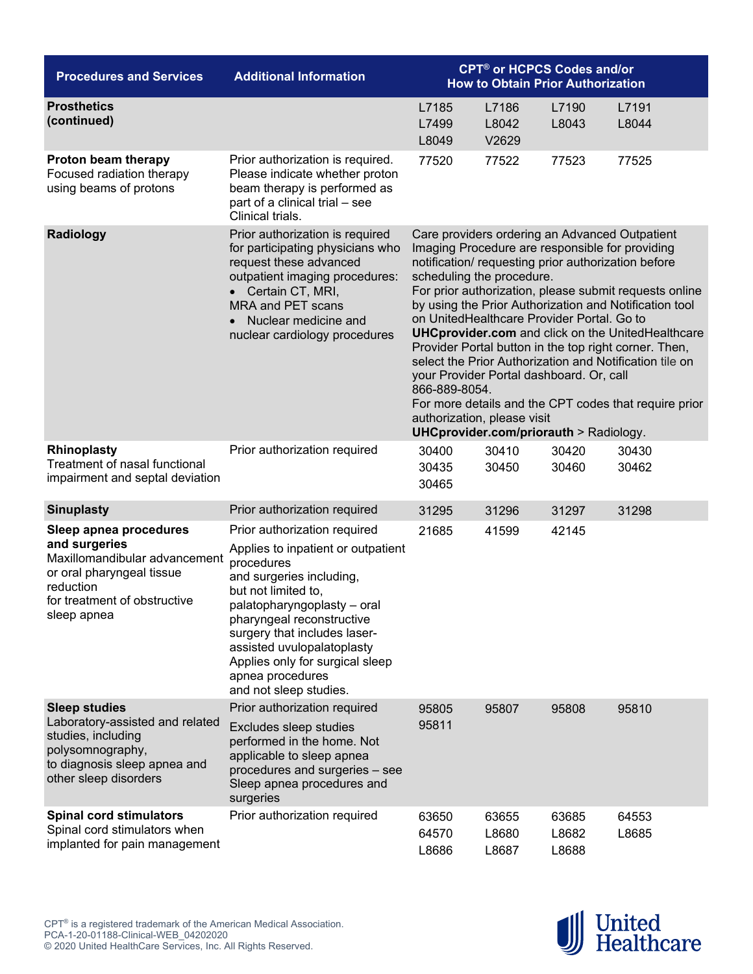| <b>Procedures and Services</b>                                                                                                                                    | <b>Additional Information</b>                                                                                                                                                                                                                                                                                                                  | <b>CPT<sup>®</sup> or HCPCS Codes and/or</b><br><b>How to Obtain Prior Authorization</b>                                                                                                                                                                                                                                                                                                                                                                                                                                                                                                                                                                                                                                               |                         |                         |                |  |
|-------------------------------------------------------------------------------------------------------------------------------------------------------------------|------------------------------------------------------------------------------------------------------------------------------------------------------------------------------------------------------------------------------------------------------------------------------------------------------------------------------------------------|----------------------------------------------------------------------------------------------------------------------------------------------------------------------------------------------------------------------------------------------------------------------------------------------------------------------------------------------------------------------------------------------------------------------------------------------------------------------------------------------------------------------------------------------------------------------------------------------------------------------------------------------------------------------------------------------------------------------------------------|-------------------------|-------------------------|----------------|--|
| <b>Prosthetics</b><br>(continued)                                                                                                                                 |                                                                                                                                                                                                                                                                                                                                                | L7185<br>L7499<br>L8049                                                                                                                                                                                                                                                                                                                                                                                                                                                                                                                                                                                                                                                                                                                | L7186<br>L8042<br>V2629 | L7190<br>L8043          | L7191<br>L8044 |  |
| Proton beam therapy<br>Focused radiation therapy<br>using beams of protons                                                                                        | Prior authorization is required.<br>Please indicate whether proton<br>beam therapy is performed as<br>part of a clinical trial - see<br>Clinical trials.                                                                                                                                                                                       | 77520                                                                                                                                                                                                                                                                                                                                                                                                                                                                                                                                                                                                                                                                                                                                  | 77522                   | 77523                   | 77525          |  |
| Radiology                                                                                                                                                         | Prior authorization is required<br>for participating physicians who<br>request these advanced<br>outpatient imaging procedures:<br>• Certain CT, MRI,<br>MRA and PET scans<br>• Nuclear medicine and<br>nuclear cardiology procedures                                                                                                          | Care providers ordering an Advanced Outpatient<br>Imaging Procedure are responsible for providing<br>notification/ requesting prior authorization before<br>scheduling the procedure.<br>For prior authorization, please submit requests online<br>by using the Prior Authorization and Notification tool<br>on UnitedHealthcare Provider Portal. Go to<br><b>UHCprovider.com</b> and click on the UnitedHealthcare<br>Provider Portal button in the top right corner. Then,<br>select the Prior Authorization and Notification tile on<br>your Provider Portal dashboard. Or, call<br>866-889-8054.<br>For more details and the CPT codes that require prior<br>authorization, please visit<br>UHCprovider.com/priorauth > Radiology. |                         |                         |                |  |
| Rhinoplasty<br>Treatment of nasal functional<br>impairment and septal deviation                                                                                   | Prior authorization required                                                                                                                                                                                                                                                                                                                   | 30400<br>30435<br>30465                                                                                                                                                                                                                                                                                                                                                                                                                                                                                                                                                                                                                                                                                                                | 30410<br>30450          | 30420<br>30460          | 30430<br>30462 |  |
| <b>Sinuplasty</b>                                                                                                                                                 | Prior authorization required                                                                                                                                                                                                                                                                                                                   | 31295                                                                                                                                                                                                                                                                                                                                                                                                                                                                                                                                                                                                                                                                                                                                  | 31296                   | 31297                   | 31298          |  |
| Sleep apnea procedures<br>and surgeries<br>Maxillomandibular advancement<br>or oral pharyngeal tissue<br>reduction<br>for treatment of obstructive<br>sleep apnea | Prior authorization required<br>Applies to inpatient or outpatient<br>procedures<br>and surgeries including,<br>but not limited to,<br>palatopharyngoplasty – oral<br>pharyngeal reconstructive<br>surgery that includes laser-<br>assisted uvulopalatoplasty<br>Applies only for surgical sleep<br>apnea procedures<br>and not sleep studies. | 21685                                                                                                                                                                                                                                                                                                                                                                                                                                                                                                                                                                                                                                                                                                                                  | 41599                   | 42145                   |                |  |
| <b>Sleep studies</b><br>Laboratory-assisted and related<br>studies, including<br>polysomnography,<br>to diagnosis sleep apnea and<br>other sleep disorders        | Prior authorization required<br>Excludes sleep studies<br>performed in the home. Not<br>applicable to sleep apnea<br>procedures and surgeries - see<br>Sleep apnea procedures and<br>surgeries                                                                                                                                                 | 95805<br>95811                                                                                                                                                                                                                                                                                                                                                                                                                                                                                                                                                                                                                                                                                                                         | 95807                   | 95808                   | 95810          |  |
| <b>Spinal cord stimulators</b><br>Spinal cord stimulators when<br>implanted for pain management                                                                   | Prior authorization required                                                                                                                                                                                                                                                                                                                   | 63650<br>64570<br>L8686                                                                                                                                                                                                                                                                                                                                                                                                                                                                                                                                                                                                                                                                                                                | 63655<br>L8680<br>L8687 | 63685<br>L8682<br>L8688 | 64553<br>L8685 |  |

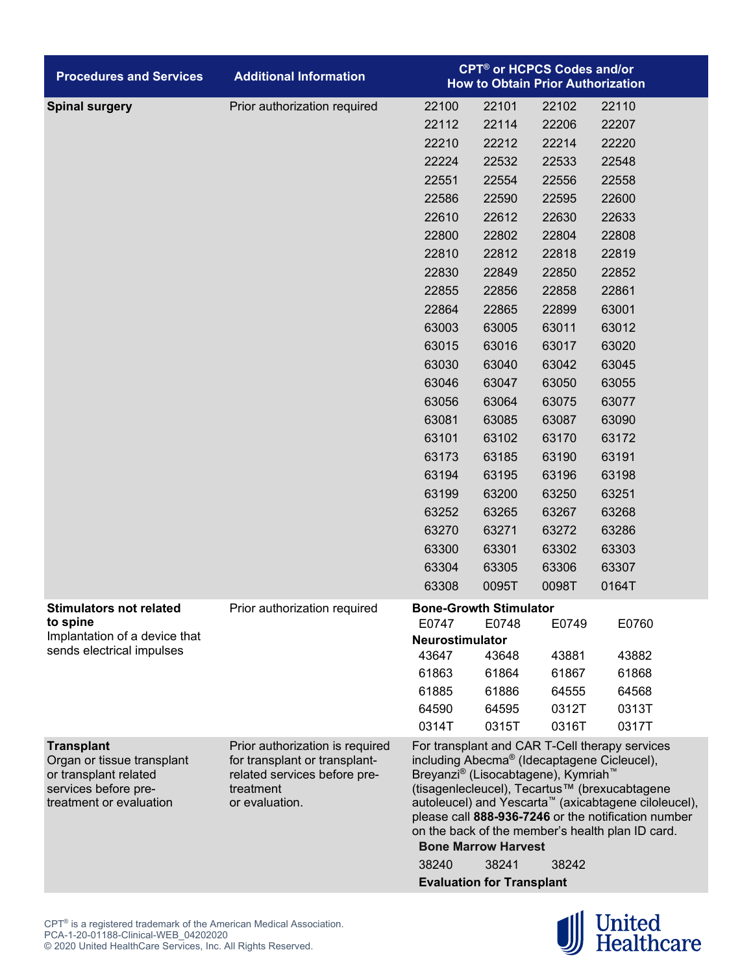| <b>Procedures and Services</b>                                                                                              | <b>Additional Information</b>                                                                                                   | <b>CPT<sup>®</sup> or HCPCS Codes and/or</b><br><b>How to Obtain Prior Authorization</b>                                                                                                                                                                                                                                                                                                                                                                                      |       |       |       |  |  |
|-----------------------------------------------------------------------------------------------------------------------------|---------------------------------------------------------------------------------------------------------------------------------|-------------------------------------------------------------------------------------------------------------------------------------------------------------------------------------------------------------------------------------------------------------------------------------------------------------------------------------------------------------------------------------------------------------------------------------------------------------------------------|-------|-------|-------|--|--|
| <b>Spinal surgery</b>                                                                                                       | Prior authorization required                                                                                                    | 22100                                                                                                                                                                                                                                                                                                                                                                                                                                                                         | 22101 | 22102 | 22110 |  |  |
|                                                                                                                             |                                                                                                                                 | 22112                                                                                                                                                                                                                                                                                                                                                                                                                                                                         | 22114 | 22206 | 22207 |  |  |
|                                                                                                                             |                                                                                                                                 | 22210                                                                                                                                                                                                                                                                                                                                                                                                                                                                         | 22212 | 22214 | 22220 |  |  |
|                                                                                                                             |                                                                                                                                 | 22224                                                                                                                                                                                                                                                                                                                                                                                                                                                                         | 22532 | 22533 | 22548 |  |  |
|                                                                                                                             |                                                                                                                                 | 22551                                                                                                                                                                                                                                                                                                                                                                                                                                                                         | 22554 | 22556 | 22558 |  |  |
|                                                                                                                             |                                                                                                                                 | 22586                                                                                                                                                                                                                                                                                                                                                                                                                                                                         | 22590 | 22595 | 22600 |  |  |
|                                                                                                                             |                                                                                                                                 | 22610                                                                                                                                                                                                                                                                                                                                                                                                                                                                         | 22612 | 22630 | 22633 |  |  |
|                                                                                                                             |                                                                                                                                 | 22800                                                                                                                                                                                                                                                                                                                                                                                                                                                                         | 22802 | 22804 | 22808 |  |  |
|                                                                                                                             |                                                                                                                                 | 22810                                                                                                                                                                                                                                                                                                                                                                                                                                                                         | 22812 | 22818 | 22819 |  |  |
|                                                                                                                             |                                                                                                                                 | 22830                                                                                                                                                                                                                                                                                                                                                                                                                                                                         | 22849 | 22850 | 22852 |  |  |
|                                                                                                                             |                                                                                                                                 | 22855                                                                                                                                                                                                                                                                                                                                                                                                                                                                         | 22856 | 22858 | 22861 |  |  |
|                                                                                                                             |                                                                                                                                 | 22864                                                                                                                                                                                                                                                                                                                                                                                                                                                                         | 22865 | 22899 | 63001 |  |  |
|                                                                                                                             |                                                                                                                                 | 63003                                                                                                                                                                                                                                                                                                                                                                                                                                                                         | 63005 | 63011 | 63012 |  |  |
|                                                                                                                             |                                                                                                                                 | 63015                                                                                                                                                                                                                                                                                                                                                                                                                                                                         | 63016 | 63017 | 63020 |  |  |
|                                                                                                                             |                                                                                                                                 | 63030                                                                                                                                                                                                                                                                                                                                                                                                                                                                         | 63040 | 63042 | 63045 |  |  |
|                                                                                                                             |                                                                                                                                 | 63046                                                                                                                                                                                                                                                                                                                                                                                                                                                                         | 63047 | 63050 | 63055 |  |  |
|                                                                                                                             |                                                                                                                                 | 63056                                                                                                                                                                                                                                                                                                                                                                                                                                                                         | 63064 | 63075 | 63077 |  |  |
|                                                                                                                             |                                                                                                                                 | 63081                                                                                                                                                                                                                                                                                                                                                                                                                                                                         | 63085 | 63087 | 63090 |  |  |
|                                                                                                                             |                                                                                                                                 | 63101                                                                                                                                                                                                                                                                                                                                                                                                                                                                         | 63102 | 63170 | 63172 |  |  |
|                                                                                                                             |                                                                                                                                 | 63173                                                                                                                                                                                                                                                                                                                                                                                                                                                                         | 63185 | 63190 | 63191 |  |  |
|                                                                                                                             |                                                                                                                                 | 63194                                                                                                                                                                                                                                                                                                                                                                                                                                                                         | 63195 | 63196 | 63198 |  |  |
|                                                                                                                             |                                                                                                                                 | 63199                                                                                                                                                                                                                                                                                                                                                                                                                                                                         | 63200 | 63250 | 63251 |  |  |
|                                                                                                                             |                                                                                                                                 | 63252                                                                                                                                                                                                                                                                                                                                                                                                                                                                         | 63265 | 63267 | 63268 |  |  |
|                                                                                                                             |                                                                                                                                 | 63270                                                                                                                                                                                                                                                                                                                                                                                                                                                                         | 63271 | 63272 | 63286 |  |  |
|                                                                                                                             |                                                                                                                                 | 63300                                                                                                                                                                                                                                                                                                                                                                                                                                                                         | 63301 | 63302 | 63303 |  |  |
|                                                                                                                             |                                                                                                                                 | 63304                                                                                                                                                                                                                                                                                                                                                                                                                                                                         | 63305 | 63306 | 63307 |  |  |
|                                                                                                                             |                                                                                                                                 | 63308                                                                                                                                                                                                                                                                                                                                                                                                                                                                         | 0095T | 0098T | 0164T |  |  |
| <b>Stimulators not related</b>                                                                                              | Prior authorization required                                                                                                    | <b>Bone-Growth Stimulator</b>                                                                                                                                                                                                                                                                                                                                                                                                                                                 |       |       |       |  |  |
| to spine<br>Implantation of a device that                                                                                   |                                                                                                                                 | E0747                                                                                                                                                                                                                                                                                                                                                                                                                                                                         | E0748 | E0749 | E0760 |  |  |
| sends electrical impulses                                                                                                   |                                                                                                                                 | Neurostimulator<br>43647                                                                                                                                                                                                                                                                                                                                                                                                                                                      | 43648 | 43881 | 43882 |  |  |
|                                                                                                                             |                                                                                                                                 | 61863                                                                                                                                                                                                                                                                                                                                                                                                                                                                         | 61864 | 61867 | 61868 |  |  |
|                                                                                                                             |                                                                                                                                 | 61885                                                                                                                                                                                                                                                                                                                                                                                                                                                                         | 61886 | 64555 | 64568 |  |  |
|                                                                                                                             |                                                                                                                                 | 64590                                                                                                                                                                                                                                                                                                                                                                                                                                                                         | 64595 | 0312T | 0313T |  |  |
|                                                                                                                             |                                                                                                                                 | 0314T                                                                                                                                                                                                                                                                                                                                                                                                                                                                         | 0315T | 0316T | 0317T |  |  |
| <b>Transplant</b><br>Organ or tissue transplant<br>or transplant related<br>services before pre-<br>treatment or evaluation | Prior authorization is required<br>for transplant or transplant-<br>related services before pre-<br>treatment<br>or evaluation. | For transplant and CAR T-Cell therapy services<br>including Abecma <sup>®</sup> (Idecaptagene Cicleucel),<br>Breyanzi® (Lisocabtagene), Kymriah™<br>(tisagenlecleucel), Tecartus™ (brexucabtagene<br>autoleucel) and Yescarta <sup>™</sup> (axicabtagene ciloleucel),<br>please call 888-936-7246 or the notification number<br>on the back of the member's health plan ID card.<br><b>Bone Marrow Harvest</b><br>38240<br>38241<br>38242<br><b>Evaluation for Transplant</b> |       |       |       |  |  |